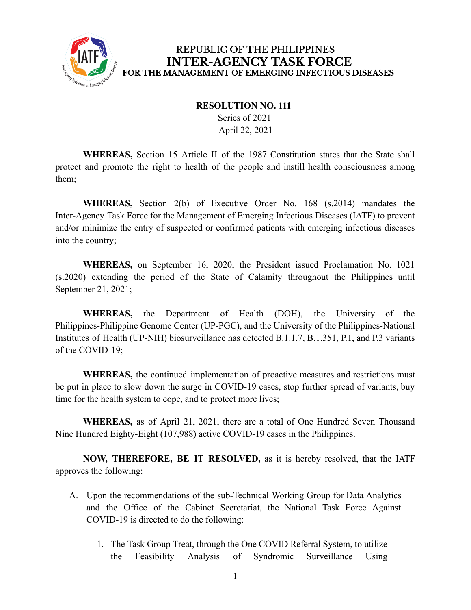

#### REPUBLIC OF THE PHILIPPINES **INTER-AGENCY TASK FORCE** FOR THE MANAGEMENT OF EMERGING INFECTIOUS DISEASES

#### **RESOLUTION NO. 111**

Series of 2021 April 22, 2021

**WHEREAS,** Section 15 Article II of the 1987 Constitution states that the State shall protect and promote the right to health of the people and instill health consciousness among them;

**WHEREAS,** Section 2(b) of Executive Order No. 168 (s.2014) mandates the Inter-Agency Task Force for the Management of Emerging Infectious Diseases (IATF) to prevent and/or minimize the entry of suspected or confirmed patients with emerging infectious diseases into the country;

**WHEREAS,** on September 16, 2020, the President issued Proclamation No. 1021 (s.2020) extending the period of the State of Calamity throughout the Philippines until September 21, 2021;

**WHEREAS,** the Department of Health (DOH), the University of the Philippines-Philippine Genome Center (UP-PGC), and the University of the Philippines-National Institutes of Health (UP-NIH) biosurveillance has detected B.1.1.7, B.1.351, P.1, and P.3 variants of the COVID-19;

**WHEREAS,** the continued implementation of proactive measures and restrictions must be put in place to slow down the surge in COVID-19 cases, stop further spread of variants, buy time for the health system to cope, and to protect more lives;

**WHEREAS,** as of April 21, 2021, there are a total of One Hundred Seven Thousand Nine Hundred Eighty-Eight (107,988) active COVID-19 cases in the Philippines.

**NOW, THEREFORE, BE IT RESOLVED,** as it is hereby resolved, that the IATF approves the following:

- A. Upon the recommendations of the sub-Technical Working Group for Data Analytics and the Office of the Cabinet Secretariat, the National Task Force Against COVID-19 is directed to do the following:
	- 1. The Task Group Treat, through the One COVID Referral System, to utilize the Feasibility Analysis of Syndromic Surveillance Using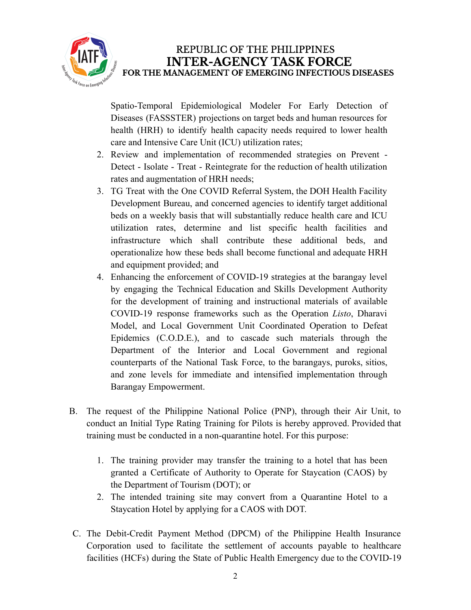

## REPUBLIC OF THE PHILIPPINES **INTER-AGENCY TASK FORCE** FOR THE MANAGEMENT OF EMERGING INFECTIOUS DISEASES

Spatio-Temporal Epidemiological Modeler For Early Detection of Diseases (FASSSTER) projections on target beds and human resources for health (HRH) to identify health capacity needs required to lower health care and Intensive Care Unit (ICU) utilization rates;

- 2. Review and implementation of recommended strategies on Prevent Detect - Isolate - Treat - Reintegrate for the reduction of health utilization rates and augmentation of HRH needs;
- 3. TG Treat with the One COVID Referral System, the DOH Health Facility Development Bureau, and concerned agencies to identify target additional beds on a weekly basis that will substantially reduce health care and ICU utilization rates, determine and list specific health facilities and infrastructure which shall contribute these additional beds, and operationalize how these beds shall become functional and adequate HRH and equipment provided; and
- 4. Enhancing the enforcement of COVID-19 strategies at the barangay level by engaging the Technical Education and Skills Development Authority for the development of training and instructional materials of available COVID-19 response frameworks such as the Operation *Listo*, Dharavi Model, and Local Government Unit Coordinated Operation to Defeat Epidemics (C.O.D.E.), and to cascade such materials through the Department of the Interior and Local Government and regional counterparts of the National Task Force, to the barangays, puroks, sitios, and zone levels for immediate and intensified implementation through Barangay Empowerment.
- B. The request of the Philippine National Police (PNP), through their Air Unit, to conduct an Initial Type Rating Training for Pilots is hereby approved. Provided that training must be conducted in a non-quarantine hotel. For this purpose:
	- 1. The training provider may transfer the training to a hotel that has been granted a Certificate of Authority to Operate for Staycation (CAOS) by the Department of Tourism (DOT); or
	- 2. The intended training site may convert from a Quarantine Hotel to a Staycation Hotel by applying for a CAOS with DOT.
- C. The Debit-Credit Payment Method (DPCM) of the Philippine Health Insurance Corporation used to facilitate the settlement of accounts payable to healthcare facilities (HCFs) during the State of Public Health Emergency due to the COVID-19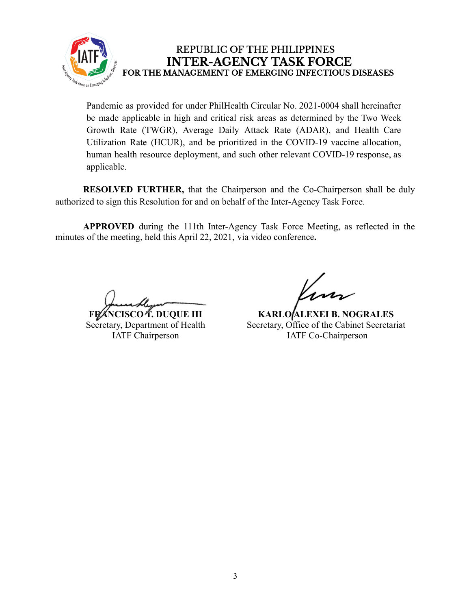

## REPUBLIC OF THE PHILIPPINES **INTER-AGENCY TASK FORCE** FOR THE MANAGEMENT OF EMERGING INFECTIOUS DISEASES

Pandemic as provided for under PhilHealth Circular No. 2021-0004 shall hereinafter be made applicable in high and critical risk areas as determined by the Two Week Growth Rate (TWGR), Average Daily Attack Rate (ADAR), and Health Care Utilization Rate (HCUR), and be prioritized in the COVID-19 vaccine allocation, human health resource deployment, and such other relevant COVID-19 response, as applicable.

**RESOLVED FURTHER,** that the Chairperson and the Co-Chairperson shall be duly authorized to sign this Resolution for and on behalf of the Inter-Agency Task Force.

**APPROVED** during the 111th Inter-Agency Task Force Meeting, as reflected in the minutes of the meeting, held this April 22, 2021, via video conference**.**

**FRANCISCO T. DUQUE III**

Secretary, Department of Health IATF Chairperson

**KARLO ALEXEI B. NOGRALES** Secretary, Office of the Cabinet Secretariat IATF Co-Chairperson